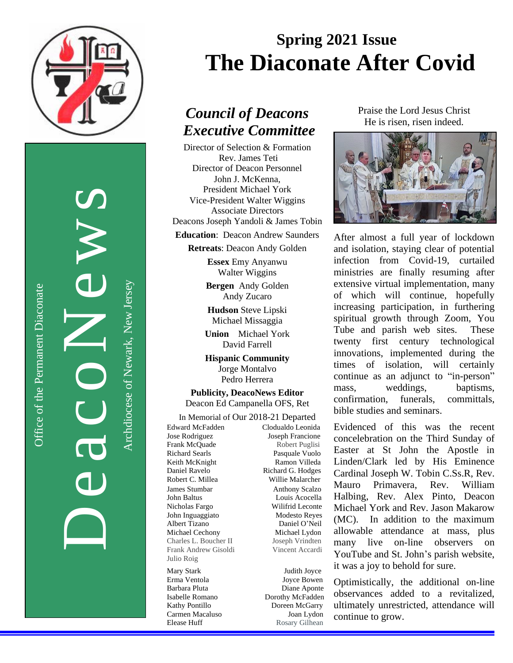

Office of the Permanent Diaconate

Office of the Permanent Diaconate

**a** CONE CV Archdiocese of Newark, New Jersey

De

# **Spring 2021 Issue The Diaconate After Covid**

## *Council of Deacons Executive Committee*

Director of Selection & Formation Rev. James Teti Director of Deacon Personnel John J. McKenna, President Michael York Vice-President Walter Wiggins Associate Directors Deacons Joseph Yandoli & James Tobin

**Education**: Deacon Andrew Saunders

**Retreats**: Deacon Andy Golden

**Essex** Emy Anyanwu Walter Wiggins

**Bergen** Andy Golden Andy Zucaro

**Hudson** Steve Lipski Michael Missaggia

**Union** Michael York David Farrell

**Hispanic Community** Jorge Montalvo Pedro Herrera

**Publicity, DeacoNews Editor** Deacon Ed Campanella OFS, Ret

In Memorial of Our 2018-21 Departed Edward McFadden Clodualdo Leonida Jose Rodriguez Joseph Francione Frank McQuade Robert Puglisi Richard Searls Pasquale Vuolo Keith McKnight **Ramon Villeda** Daniel Ravelo Richard G. Hodges Robert C. Millea Willie Malarcher James Stumbar Anthony Scalzo John Baltus Louis Acocella Nicholas Fargo Wilifrid Leconte John Inguaggiato Modesto Reyes Albert Tizano Daniel O'Neil Michael Cechony Michael Lydon Charles L. Boucher II Joseph Vrindten Frank Andrew Gisoldi Vincent Accardi Julio Roig

Mary Stark Judith Joyce Erma Ventola Joyce Bowen Barbara Pluta Diane Aponte Isabelle Romano Dorothy McFadden Kathy Pontillo **Doreen McGarry** Carmen Macaluso Joan Lydon Elease Huff Rosary Gilhean Praise the Lord Jesus Christ He is risen, risen indeed.



After almost a full year of lockdown and isolation, staying clear of potential infection from Covid-19, curtailed ministries are finally resuming after extensive virtual implementation, many of which will continue, hopefully increasing participation, in furthering spiritual growth through Zoom, You Tube and parish web sites. These twenty first century technological innovations, implemented during the times of isolation, will certainly continue as an adjunct to "in-person" mass, weddings, baptisms, confirmation, funerals, committals, bible studies and seminars.

Evidenced of this was the recent concelebration on the Third Sunday of Easter at St John the Apostle in Linden/Clark led by His Eminence Cardinal Joseph W. Tobin C.Ss.R, Rev. Mauro Primavera, Rev. William Halbing, Rev. Alex Pinto, Deacon Michael York and Rev. Jason Makarow (MC). In addition to the maximum allowable attendance at mass, plus many live on-line observers on YouTube and St. John's parish website, it was a joy to behold for sure.

Optimistically, the additional on-line observances added to a revitalized, ultimately unrestricted, attendance will continue to grow.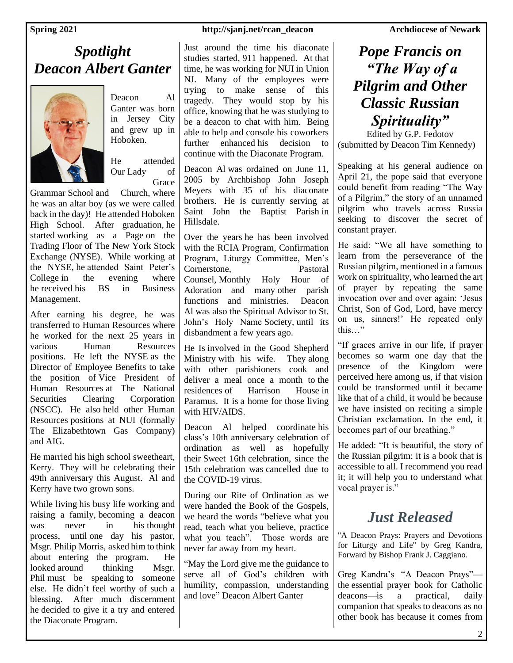### *Spotlight Deacon Albert Ganter*



Deacon Al Ganter was born in Jersey City and grew up in Hoboken.

He attended Our Lady of Grace

Grammar School and Church, where he was an altar boy (as we were called back in the day)! He attended Hoboken High School. After graduation, he started working as a Page on the Trading Floor of The New York Stock Exchange (NYSE). While working at the NYSE, he attended Saint Peter's College in the evening where he received his BS in Business Management.

After earning his degree, he was transferred to Human Resources where he worked for the next 25 years in various Human Resources positions. He left the NYSE as the Director of Employee Benefits to take the position of Vice President of Human Resources at The National Securities Clearing Corporation (NSCC). He also held other Human Resources positions at NUI (formally The Elizabethtown Gas Company) and AIG.

He married his high school sweetheart, Kerry. They will be celebrating their 49th anniversary this August. Al and Kerry have two grown sons.

While living his busy life working and raising a family, becoming a deacon was never in his thought process, until one day his pastor, Msgr. Philip Morris, asked him to think about entering the program. He looked around thinking Msgr. Phil must be speaking to someone else. He didn't feel worthy of such a blessing. After much discernment he decided to give it a try and entered the Diaconate Program.

### **Spring 2021 http://sjanj.net/rcan\_deacon** Archdiocese of Newark

Just around the time his diaconate studies started, 911 happened. At that time, he was working for NUI in Union NJ. Many of the employees were trying to make sense of this tragedy. They would stop by his office, knowing that he was studying to be a deacon to chat with him. Being able to help and console his coworkers further enhanced his decision to continue with the Diaconate Program.

Deacon Al was ordained on June 11, 2005 by Archbishop John Joseph Meyers with 35 of his diaconate brothers. He is currently serving at Saint John the Baptist Parish in Hillsdale.

Over the years he has been involved with the RCIA Program, Confirmation Program, Liturgy Committee, Men's Cornerstone, Pastoral Counsel, Monthly Holy Hour of Adoration and many other parish functions and ministries. Deacon Al was also the Spiritual Advisor to St. John's Holy Name Society, until its disbandment a few years ago.

He Is involved in the Good Shepherd Ministry with his wife. They along with other parishioners cook and deliver a meal once a month to the residences of Harrison House in Paramus. It is a home for those living with HIV/AIDS.

Deacon Al helped coordinate his class's 10th anniversary celebration of ordination as well as hopefully their Sweet 16th celebration, since the 15th celebration was cancelled due to the COVID-19 virus.

During our Rite of Ordination as we were handed the Book of the Gospels, we heard the words "believe what you read, teach what you believe, practice what you teach". Those words are never far away from my heart.

"May the Lord give me the guidance to serve all of God's children with humility, compassion, understanding and love" Deacon Albert Ganter

### *Pope Francis on "The Way of a Pilgrim and Other Classic Russian Spirituality"*

Edited by G.P. Fedotov (submitted by Deacon Tim Kennedy)

Speaking at his general audience on April 21, the pope said that everyone could benefit from reading "The Way of a Pilgrim," the story of an unnamed pilgrim who travels across Russia seeking to discover the secret of constant prayer.

He said: "We all have something to learn from the perseverance of the Russian pilgrim, mentioned in a famous work on spirituality, who learned the art of prayer by repeating the same invocation over and over again: 'Jesus Christ, Son of God, Lord, have mercy on us, sinners!' He repeated only this…"

"If graces arrive in our life, if prayer becomes so warm one day that the presence of the Kingdom were perceived here among us, if that vision could be transformed until it became like that of a child, it would be because we have insisted on reciting a simple Christian exclamation. In the end, it becomes part of our breathing."

He added: "It is beautiful, the story of the Russian pilgrim: it is a book that is accessible to all. I recommend you read it; it will help you to understand what vocal prayer is."

### *Just Released*

"A Deacon Prays: Prayers and Devotions for Liturgy and Life" by Greg Kandra, Forward by Bishop Frank J. Caggiano.

Greg Kandra's "A Deacon Prays" the essential prayer book for Catholic deacons—is a practical, daily companion that speaks to deacons as no other book has because it comes from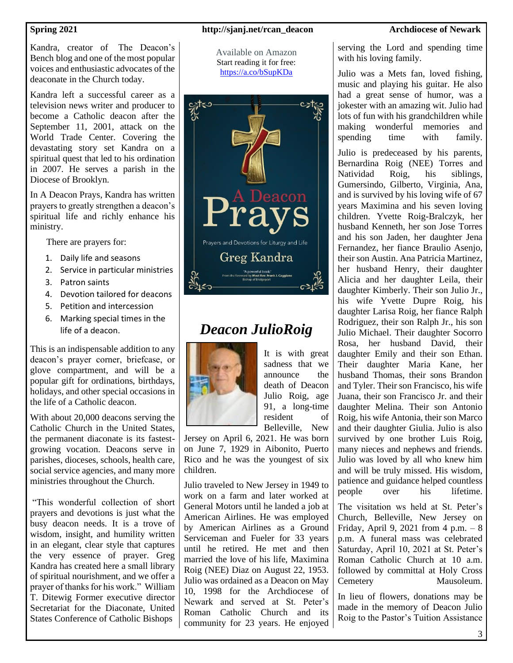Kandra, creator of The Deacon's Bench blog and one of the most popular voices and enthusiastic advocates of the deaconate in the Church today.

Kandra left a successful career as a television news writer and producer to become a Catholic deacon after the September 11, 2001, attack on the World Trade Center. Covering the devastating story set Kandra on a spiritual quest that led to his ordination in 2007. He serves a parish in the Diocese of Brooklyn.

In A Deacon Prays, Kandra has written prayers to greatly strengthen a deacon's spiritual life and richly enhance his ministry.

There are prayers for:

- 1. Daily life and seasons
- 2. Service in particular ministries
- 3. Patron saints
- 4. Devotion tailored for deacons
- 5. Petition and intercession
- 6. Marking special times in the life of a deacon.

This is an indispensable addition to any deacon's prayer corner, briefcase, or glove compartment, and will be a popular gift for ordinations, birthdays, holidays, and other special occasions in the life of a Catholic deacon.

With about 20,000 deacons serving the Catholic Church in the United States, the permanent diaconate is its fastestgrowing vocation. Deacons serve in parishes, dioceses, schools, health care, social service agencies, and many more ministries throughout the Church.

"This wonderful collection of short prayers and devotions is just what the busy deacon needs. It is a trove of wisdom, insight, and humility written in an elegant, clear style that captures the very essence of prayer. Greg Kandra has created here a small library of spiritual nourishment, and we offer a prayer of thanks for his work." William T. Ditewig Former executive director Secretariat for the Diaconate, United States Conference of Catholic Bishops

### **Spring 2021 http://sjanj.net/rcan\_deacon** Archdiocese of Newark

Available on Amazon Start reading it for free: <https://a.co/bSupKDa>



## *Deacon JulioRoig*



It is with great sadness that we announce the death of Deacon Julio Roig, age 91, a long-time resident of Belleville, New

Jersey on April 6, 2021. He was born on June 7, 1929 in Aibonito, Puerto Rico and he was the youngest of six children.

Julio traveled to New Jersey in 1949 to work on a farm and later worked at General Motors until he landed a job at American Airlines. He was employed by American Airlines as a Ground Serviceman and Fueler for 33 years until he retired. He met and then married the love of his life, Maximina Roig (NEE) Diaz on August 22, 1953. Julio was ordained as a Deacon on May 10, 1998 for the Archdiocese of Newark and served at St. Peter's Roman Catholic Church and its community for 23 years. He enjoyed

serving the Lord and spending time with his loving family.

Julio was a Mets fan, loved fishing, music and playing his guitar. He also had a great sense of humor, was a jokester with an amazing wit. Julio had lots of fun with his grandchildren while making wonderful memories and spending time with family.

Julio is predeceased by his parents, Bernardina Roig (NEE) Torres and Natividad Roig, his siblings, Gumersindo, Gilberto, Virginia, Ana, and is survived by his loving wife of 67 years Maximina and his seven loving children. Yvette Roig-Bralczyk, her husband Kenneth, her son Jose Torres and his son Jaden, her daughter Jena Fernandez, her fiance Braulio Asenjo, their son Austin. Ana Patricia Martinez, her husband Henry, their daughter Alicia and her daughter Leila, their daughter Kimberly. Their son Julio Jr., his wife Yvette Dupre Roig, his daughter Larisa Roig, her fiance Ralph Rodriguez, their son Ralph Jr., his son Julio Michael. Their daughter Socorro Rosa, her husband David, their daughter Emily and their son Ethan. Their daughter Maria Kane, her husband Thomas, their sons Brandon and Tyler. Their son Francisco, his wife Juana, their son Francisco Jr. and their daughter Melina. Their son Antonio Roig, his wife Antonia, their son Marco and their daughter Giulia. Julio is also survived by one brother Luis Roig, many nieces and nephews and friends. Julio was loved by all who knew him and will be truly missed. His wisdom, patience and guidance helped countless people over his lifetime.

The visitation ws held at St. Peter's Church, Belleville, New Jersey on Friday, April 9, 2021 from 4 p.m.  $-8$ p.m. A funeral mass was celebrated Saturday, April 10, 2021 at St. Peter's Roman Catholic Church at 10 a.m. followed by committal at Holy Cross Cemetery Mausoleum.

In lieu of flowers, donations may be made in the memory of Deacon Julio Roig to the Pastor's Tuition Assistance